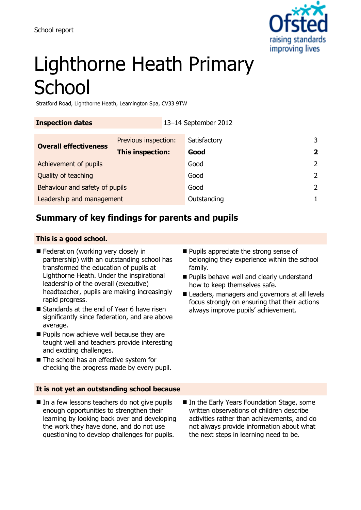

# Lighthorne Heath Primary **School**

Stratford Road, Lighthorne Heath, Leamington Spa, CV33 9TW

**Inspection dates** 13–14 September 2012

| <b>Overall effectiveness</b>   | Previous inspection: | Satisfactory |  |
|--------------------------------|----------------------|--------------|--|
|                                | This inspection:     | Good         |  |
| Achievement of pupils          |                      | Good         |  |
| Quality of teaching            |                      | Good         |  |
| Behaviour and safety of pupils |                      | Good         |  |
| Leadership and management      |                      | Outstanding  |  |

## **Summary of key findings for parents and pupils**

#### **This is a good school.**

- Federation (working very closely in partnership) with an outstanding school has transformed the education of pupils at Lighthorne Heath. Under the inspirational leadership of the overall (executive) headteacher, pupils are making increasingly rapid progress.
- Standards at the end of Year 6 have risen significantly since federation, and are above average.
- **Pupils now achieve well because they are** taught well and teachers provide interesting and exciting challenges.
- The school has an effective system for checking the progress made by every pupil.

#### **It is not yet an outstanding school because**

 $\blacksquare$  In a few lessons teachers do not give pupils enough opportunities to strengthen their learning by looking back over and developing the work they have done, and do not use questioning to develop challenges for pupils.

- **Pupils appreciate the strong sense of** belonging they experience within the school family.
- **Pupils behave well and clearly understand** how to keep themselves safe.
- Leaders, managers and governors at all levels focus strongly on ensuring that their actions always improve pupils' achievement.

In the Early Years Foundation Stage, some written observations of children describe activities rather than achievements, and do not always provide information about what the next steps in learning need to be.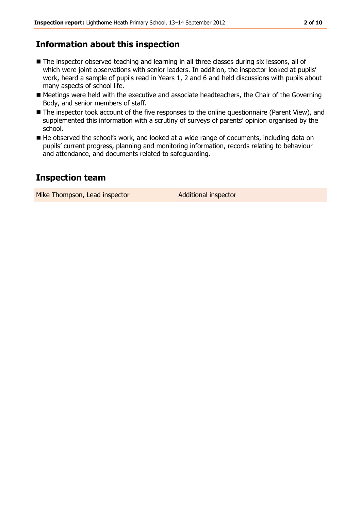## **Information about this inspection**

- The inspector observed teaching and learning in all three classes during six lessons, all of which were joint observations with senior leaders. In addition, the inspector looked at pupils' work, heard a sample of pupils read in Years 1, 2 and 6 and held discussions with pupils about many aspects of school life.
- Meetings were held with the executive and associate headteachers, the Chair of the Governing Body, and senior members of staff.
- The inspector took account of the five responses to the online questionnaire (Parent View), and supplemented this information with a scrutiny of surveys of parents' opinion organised by the school.
- He observed the school's work, and looked at a wide range of documents, including data on pupils' current progress, planning and monitoring information, records relating to behaviour and attendance, and documents related to safeguarding.

### **Inspection team**

Mike Thompson, Lead inspector **Additional inspector**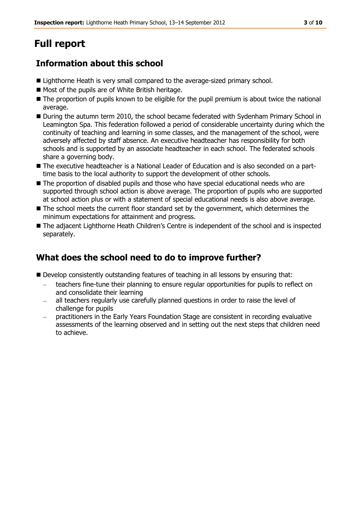# **Full report**

## **Information about this school**

- Lighthorne Heath is very small compared to the average-sized primary school.
- Most of the pupils are of White British heritage.
- The proportion of pupils known to be eligible for the pupil premium is about twice the national average.
- During the autumn term 2010, the school became federated with Sydenham Primary School in Leamington Spa. This federation followed a period of considerable uncertainty during which the continuity of teaching and learning in some classes, and the management of the school, were adversely affected by staff absence. An executive headteacher has responsibility for both schools and is supported by an associate headteacher in each school. The federated schools share a governing body.
- The executive headteacher is a National Leader of Education and is also seconded on a parttime basis to the local authority to support the development of other schools.
- The proportion of disabled pupils and those who have special educational needs who are supported through school action is above average. The proportion of pupils who are supported at school action plus or with a statement of special educational needs is also above average.
- The school meets the current floor standard set by the government, which determines the minimum expectations for attainment and progress.
- The adjacent Lighthorne Heath Children's Centre is independent of the school and is inspected separately.

## **What does the school need to do to improve further?**

- Develop consistently outstanding features of teaching in all lessons by ensuring that:
	- teachers fine-tune their planning to ensure regular opportunities for pupils to reflect on and consolidate their learning
	- all teachers regularly use carefully planned questions in order to raise the level of challenge for pupils
	- practitioners in the Early Years Foundation Stage are consistent in recording evaluative assessments of the learning observed and in setting out the next steps that children need to achieve.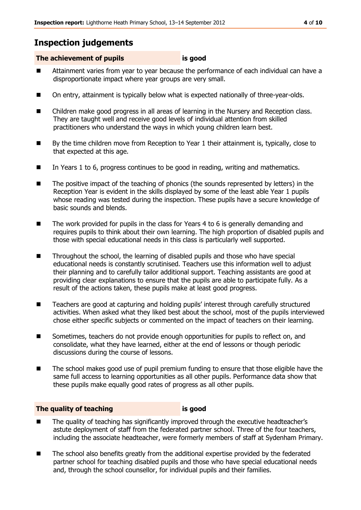## **Inspection judgements**

#### **The achievement of pupils is good**

- Attainment varies from year to year because the performance of each individual can have a disproportionate impact where year groups are very small.
- On entry, attainment is typically below what is expected nationally of three-year-olds.
- Children make good progress in all areas of learning in the Nursery and Reception class. They are taught well and receive good levels of individual attention from skilled practitioners who understand the ways in which young children learn best.
- By the time children move from Reception to Year 1 their attainment is, typically, close to that expected at this age.
- In Years 1 to 6, progress continues to be good in reading, writing and mathematics.
- The positive impact of the teaching of phonics (the sounds represented by letters) in the Reception Year is evident in the skills displayed by some of the least able Year 1 pupils whose reading was tested during the inspection. These pupils have a secure knowledge of basic sounds and blends.
- $\blacksquare$  The work provided for pupils in the class for Years 4 to 6 is generally demanding and requires pupils to think about their own learning. The high proportion of disabled pupils and those with special educational needs in this class is particularly well supported.
- Throughout the school, the learning of disabled pupils and those who have special educational needs is constantly scrutinised. Teachers use this information well to adjust their planning and to carefully tailor additional support. Teaching assistants are good at providing clear explanations to ensure that the pupils are able to participate fully. As a result of the actions taken, these pupils make at least good progress.
- Teachers are good at capturing and holding pupils' interest through carefully structured activities. When asked what they liked best about the school, most of the pupils interviewed chose either specific subjects or commented on the impact of teachers on their learning.
- Sometimes, teachers do not provide enough opportunities for pupils to reflect on, and consolidate, what they have learned, either at the end of lessons or though periodic discussions during the course of lessons.
- The school makes good use of pupil premium funding to ensure that those eligible have the same full access to learning opportunities as all other pupils. Performance data show that these pupils make equally good rates of progress as all other pupils.

#### **The quality of teaching is good**

- The quality of teaching has significantly improved through the executive headteacher's astute deployment of staff from the federated partner school. Three of the four teachers, including the associate headteacher, were formerly members of staff at Sydenham Primary.
- The school also benefits greatly from the additional expertise provided by the federated partner school for teaching disabled pupils and those who have special educational needs and, through the school counsellor, for individual pupils and their families.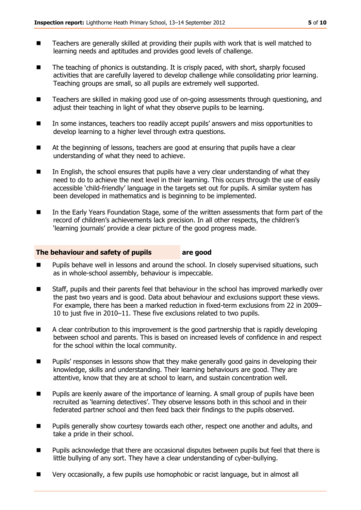- Teachers are generally skilled at providing their pupils with work that is well matched to learning needs and aptitudes and provides good levels of challenge.
- The teaching of phonics is outstanding. It is crisply paced, with short, sharply focused activities that are carefully layered to develop challenge while consolidating prior learning. Teaching groups are small, so all pupils are extremely well supported.
- Teachers are skilled in making good use of on-going assessments through questioning, and adjust their teaching in light of what they observe pupils to be learning.
- In some instances, teachers too readily accept pupils' answers and miss opportunities to develop learning to a higher level through extra questions.
- At the beginning of lessons, teachers are good at ensuring that pupils have a clear understanding of what they need to achieve.
- In English, the school ensures that pupils have a very clear understanding of what they need to do to achieve the next level in their learning. This occurs through the use of easily accessible 'child-friendly' language in the targets set out for pupils. A similar system has been developed in mathematics and is beginning to be implemented.
- In the Early Years Foundation Stage, some of the written assessments that form part of the record of children's achievements lack precision. In all other respects, the children's 'learning journals' provide a clear picture of the good progress made.

#### **The behaviour and safety of pupils are good**

- Pupils behave well in lessons and around the school. In closely supervised situations, such as in whole-school assembly, behaviour is impeccable.
- Staff, pupils and their parents feel that behaviour in the school has improved markedly over the past two years and is good. Data about behaviour and exclusions support these views. For example, there has been a marked reduction in fixed-term exclusions from 22 in 2009– 10 to just five in 2010–11. These five exclusions related to two pupils.
- A clear contribution to this improvement is the good partnership that is rapidly developing between school and parents. This is based on increased levels of confidence in and respect for the school within the local community.
- **Pupils'** responses in lessons show that they make generally good gains in developing their knowledge, skills and understanding. Their learning behaviours are good. They are attentive, know that they are at school to learn, and sustain concentration well.
- **Pupils are keenly aware of the importance of learning. A small group of pupils have been** recruited as 'learning detectives'. They observe lessons both in this school and in their federated partner school and then feed back their findings to the pupils observed.
- **Pupils generally show courtesy towards each other, respect one another and adults, and** take a pride in their school.
- Pupils acknowledge that there are occasional disputes between pupils but feel that there is little bullying of any sort. They have a clear understanding of cyber-bullying.
- Very occasionally, a few pupils use homophobic or racist language, but in almost all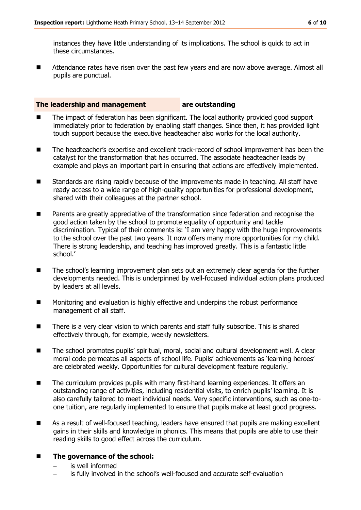instances they have little understanding of its implications. The school is quick to act in these circumstances.

■ Attendance rates have risen over the past few years and are now above average. Almost all pupils are punctual.

#### **The leadership and management are outstanding**

- The impact of federation has been significant. The local authority provided good support immediately prior to federation by enabling staff changes. Since then, it has provided light touch support because the executive headteacher also works for the local authority.
- The headteacher's expertise and excellent track-record of school improvement has been the catalyst for the transformation that has occurred. The associate headteacher leads by example and plays an important part in ensuring that actions are effectively implemented.
- Standards are rising rapidly because of the improvements made in teaching. All staff have ready access to a wide range of high-quality opportunities for professional development, shared with their colleagues at the partner school.
- **Parents are greatly appreciative of the transformation since federation and recognise the** good action taken by the school to promote equality of opportunity and tackle discrimination. Typical of their comments is: 'I am very happy with the huge improvements to the school over the past two years. It now offers many more opportunities for my child. There is strong leadership, and teaching has improved greatly. This is a fantastic little school.'
- The school's learning improvement plan sets out an extremely clear agenda for the further developments needed. This is underpinned by well-focused individual action plans produced by leaders at all levels.
- **Monitoring and evaluation is highly effective and underpins the robust performance** management of all staff.
- There is a very clear vision to which parents and staff fully subscribe. This is shared effectively through, for example, weekly newsletters.
- The school promotes pupils' spiritual, moral, social and cultural development well. A clear moral code permeates all aspects of school life. Pupils' achievements as 'learning heroes' are celebrated weekly. Opportunities for cultural development feature regularly.
- The curriculum provides pupils with many first-hand learning experiences. It offers an outstanding range of activities, including residential visits, to enrich pupils' learning. It is also carefully tailored to meet individual needs. Very specific interventions, such as one-toone tuition, are regularly implemented to ensure that pupils make at least good progress.
- As a result of well-focused teaching, leaders have ensured that pupils are making excellent gains in their skills and knowledge in phonics. This means that pupils are able to use their reading skills to good effect across the curriculum.

#### ■ The governance of the school:

- is well informed
- is fully involved in the school's well-focused and accurate self-evaluation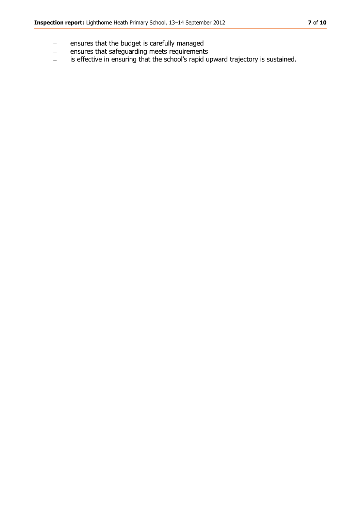- ensures that the budget is carefully managed  $\equiv$
- ensures that safeguarding meets requirements  $\frac{1}{2}$
- is effective in ensuring that the school's rapid upward trajectory is sustained. $\frac{1}{2}$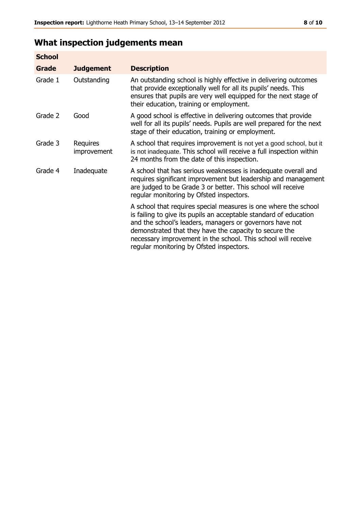# **What inspection judgements mean**

| <b>School</b> |                         |                                                                                                                                                                                                                                                                                                                                                                         |
|---------------|-------------------------|-------------------------------------------------------------------------------------------------------------------------------------------------------------------------------------------------------------------------------------------------------------------------------------------------------------------------------------------------------------------------|
| Grade         | <b>Judgement</b>        | <b>Description</b>                                                                                                                                                                                                                                                                                                                                                      |
| Grade 1       | Outstanding             | An outstanding school is highly effective in delivering outcomes<br>that provide exceptionally well for all its pupils' needs. This<br>ensures that pupils are very well equipped for the next stage of<br>their education, training or employment.                                                                                                                     |
| Grade 2       | Good                    | A good school is effective in delivering outcomes that provide<br>well for all its pupils' needs. Pupils are well prepared for the next<br>stage of their education, training or employment.                                                                                                                                                                            |
| Grade 3       | Requires<br>improvement | A school that requires improvement is not yet a good school, but it<br>is not inadequate. This school will receive a full inspection within<br>24 months from the date of this inspection.                                                                                                                                                                              |
| Grade 4       | Inadequate              | A school that has serious weaknesses is inadequate overall and<br>requires significant improvement but leadership and management<br>are judged to be Grade 3 or better. This school will receive<br>regular monitoring by Ofsted inspectors.                                                                                                                            |
|               |                         | A school that requires special measures is one where the school<br>is failing to give its pupils an acceptable standard of education<br>and the school's leaders, managers or governors have not<br>demonstrated that they have the capacity to secure the<br>necessary improvement in the school. This school will receive<br>regular monitoring by Ofsted inspectors. |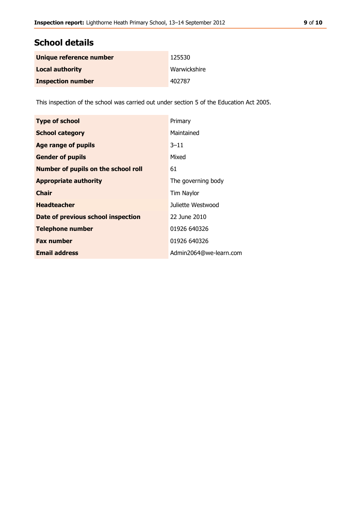## **School details**

| Unique reference number  | 125530       |
|--------------------------|--------------|
| <b>Local authority</b>   | Warwickshire |
| <b>Inspection number</b> | 402787       |

This inspection of the school was carried out under section 5 of the Education Act 2005.

| <b>Type of school</b>                      | Primary                |
|--------------------------------------------|------------------------|
| <b>School category</b>                     | Maintained             |
| Age range of pupils                        | $3 - 11$               |
| <b>Gender of pupils</b>                    | Mixed                  |
| <b>Number of pupils on the school roll</b> | 61                     |
| <b>Appropriate authority</b>               | The governing body     |
| <b>Chair</b>                               | Tim Naylor             |
| <b>Headteacher</b>                         | Juliette Westwood      |
| Date of previous school inspection         | 22 June 2010           |
| <b>Telephone number</b>                    | 01926 640326           |
| <b>Fax number</b>                          | 01926 640326           |
| <b>Email address</b>                       | Admin2064@we-learn.com |